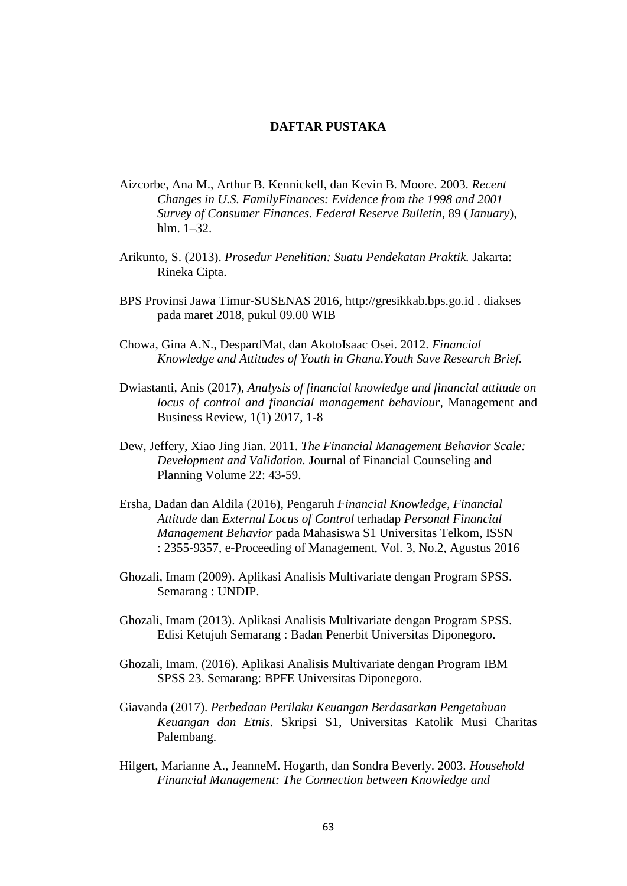## **DAFTAR PUSTAKA**

- Aizcorbe, Ana M., Arthur B. Kennickell, dan Kevin B. Moore. 2003. *Recent Changes in U.S. FamilyFinances: Evidence from the 1998 and 2001 Survey of Consumer Finances. Federal Reserve Bulletin*, 89 (*January*), hlm. 1–32.
- Arikunto, S. (2013). *Prosedur Penelitian: Suatu Pendekatan Praktik.* Jakarta: Rineka Cipta.
- BPS Provinsi Jawa Timur-SUSENAS 2016, [http://gresikkab.bps.go.id](http://gresikkab.bps.go.id/) . diakses pada maret 2018, pukul 09.00 WIB
- Chowa, Gina A.N., DespardMat, dan AkotoIsaac Osei. 2012. *Financial Knowledge and Attitudes of Youth in Ghana.Youth Save Research Brief.*
- Dwiastanti, Anis (2017), *Analysis of financial knowledge and financial attitude on locus of control and financial management behaviour,* Management and Business Review, 1(1) 2017, 1-8
- Dew, Jeffery, Xiao Jing Jian. 2011. *The Financial Management Behavior Scale: Development and Validation.* Journal of Financial Counseling and Planning Volume 22: 43-59.
- Ersha, Dadan dan Aldila (2016), Pengaruh *Financial Knowledge, Financial Attitude* dan *External Locus of Control* terhadap *Personal Financial Management Behavior* pada Mahasiswa S1 Universitas Telkom, ISSN : 2355-9357, e-Proceeding of Management, Vol. 3, No.2, Agustus 2016
- Ghozali, Imam (2009). Aplikasi Analisis Multivariate dengan Program SPSS. Semarang : UNDIP.
- Ghozali, Imam (2013). Aplikasi Analisis Multivariate dengan Program SPSS. Edisi Ketujuh Semarang : Badan Penerbit Universitas Diponegoro.
- Ghozali, Imam. (2016). Aplikasi Analisis Multivariate dengan Program IBM SPSS 23. Semarang: BPFE Universitas Diponegoro.
- Giavanda (2017). *Perbedaan Perilaku Keuangan Berdasarkan Pengetahuan Keuangan dan Etnis.* Skripsi S1, Universitas Katolik Musi Charitas Palembang.
- Hilgert, Marianne A., JeanneM. Hogarth, dan Sondra Beverly. 2003. *Household Financial Management: The Connection between Knowledge and*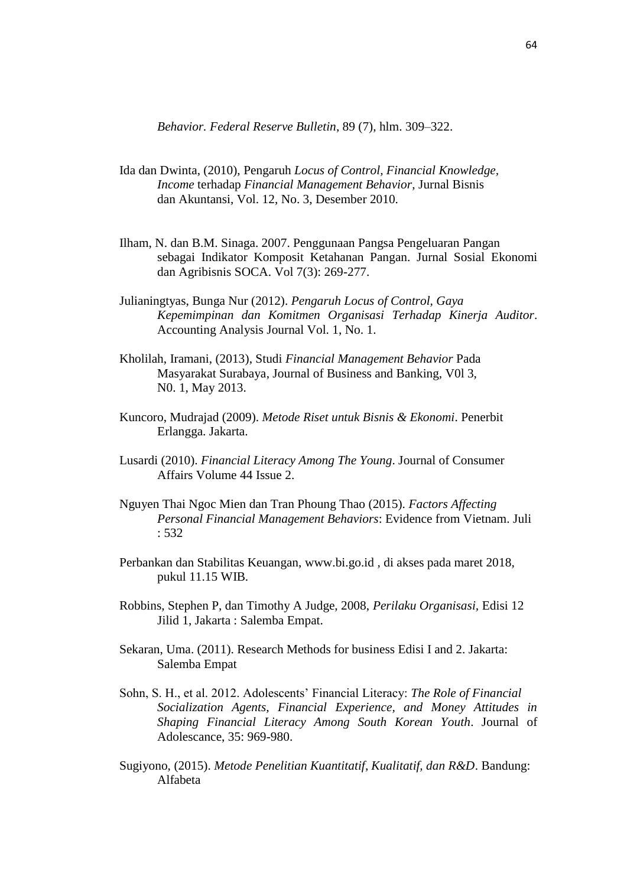*Behavior. Federal Reserve Bulletin*, 89 (7), hlm. 309–322.

- Ida dan Dwinta, (2010), Pengaruh *Locus of Control, Financial Knowledge, Income* terhadap *Financial Management Behavior*, Jurnal Bisnis dan Akuntansi, Vol. 12, No. 3, Desember 2010.
- Ilham, N. dan B.M. Sinaga. 2007. Penggunaan Pangsa Pengeluaran Pangan sebagai Indikator Komposit Ketahanan Pangan. Jurnal Sosial Ekonomi dan Agribisnis SOCA. Vol 7(3): 269-277.
- Julianingtyas, Bunga Nur (2012). *Pengaruh Locus of Control, Gaya Kepemimpinan dan Komitmen Organisasi Terhadap Kinerja Auditor*. Accounting Analysis Journal Vol. 1, No. 1.
- Kholilah, Iramani, (2013), Studi *Financial Management Behavior* Pada Masyarakat Surabaya, Journal of Business and Banking, V0l 3, N0. 1, May 2013.
- Kuncoro, Mudrajad (2009). *Metode Riset untuk Bisnis & Ekonomi*. Penerbit Erlangga. Jakarta.
- Lusardi (2010). *Financial Literacy Among The Young*. Journal of Consumer Affairs Volume 44 Issue 2.
- Nguyen Thai Ngoc Mien dan Tran Phoung Thao (2015). *Factors Affecting Personal Financial Management Behaviors*: Evidence from Vietnam. Juli : 532
- Perbankan dan Stabilitas Keuangan, [www.bi.go.id](http://www.bi.go.id/) , di akses pada maret 2018, pukul 11.15 WIB.
- Robbins, Stephen P, dan Timothy A Judge, 2008, *Perilaku Organisasi,* Edisi 12 Jilid 1, Jakarta : Salemba Empat.
- Sekaran, Uma. (2011). Research Methods for business Edisi I and 2. Jakarta: Salemba Empat
- Sohn, S. H., et al. 2012. Adolescents' Financial Literacy: *The Role of Financial Socialization Agents, Financial Experience, and Money Attitudes in Shaping Financial Literacy Among South Korean Youth*. Journal of Adolescance, 35: 969-980.
- Sugiyono, (2015). *Metode Penelitian Kuantitatif, Kualitatif, dan R&D*. Bandung: Alfabeta